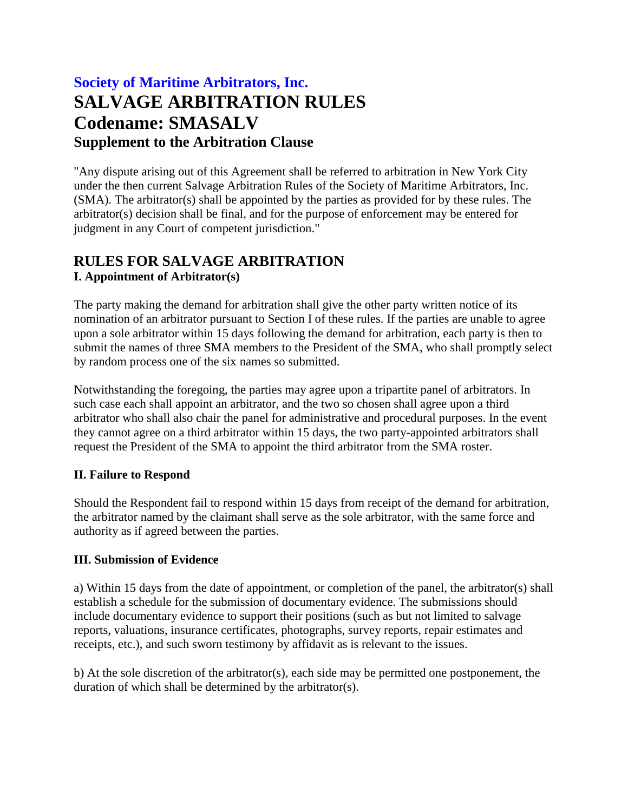# **Society of Maritime Arbitrators, Inc. SALVAGE ARBITRATION RULES Codename: SMASALV Supplement to the Arbitration Clause**

"Any dispute arising out of this Agreement shall be referred to arbitration in New York City under the then current Salvage Arbitration Rules of the Society of Maritime Arbitrators, Inc. (SMA). The arbitrator(s) shall be appointed by the parties as provided for by these rules. The arbitrator(s) decision shall be final, and for the purpose of enforcement may be entered for judgment in any Court of competent jurisdiction."

# **RULES FOR SALVAGE ARBITRATION I. Appointment of Arbitrator(s)**

The party making the demand for arbitration shall give the other party written notice of its nomination of an arbitrator pursuant to Section I of these rules. If the parties are unable to agree upon a sole arbitrator within 15 days following the demand for arbitration, each party is then to submit the names of three SMA members to the President of the SMA, who shall promptly select by random process one of the six names so submitted.

Notwithstanding the foregoing, the parties may agree upon a tripartite panel of arbitrators. In such case each shall appoint an arbitrator, and the two so chosen shall agree upon a third arbitrator who shall also chair the panel for administrative and procedural purposes. In the event they cannot agree on a third arbitrator within 15 days, the two party-appointed arbitrators shall request the President of the SMA to appoint the third arbitrator from the SMA roster.

## **II. Failure to Respond**

Should the Respondent fail to respond within 15 days from receipt of the demand for arbitration, the arbitrator named by the claimant shall serve as the sole arbitrator, with the same force and authority as if agreed between the parties.

#### **III. Submission of Evidence**

a) Within 15 days from the date of appointment, or completion of the panel, the arbitrator(s) shall establish a schedule for the submission of documentary evidence. The submissions should include documentary evidence to support their positions (such as but not limited to salvage reports, valuations, insurance certificates, photographs, survey reports, repair estimates and receipts, etc.), and such sworn testimony by affidavit as is relevant to the issues.

b) At the sole discretion of the arbitrator(s), each side may be permitted one postponement, the duration of which shall be determined by the arbitrator(s).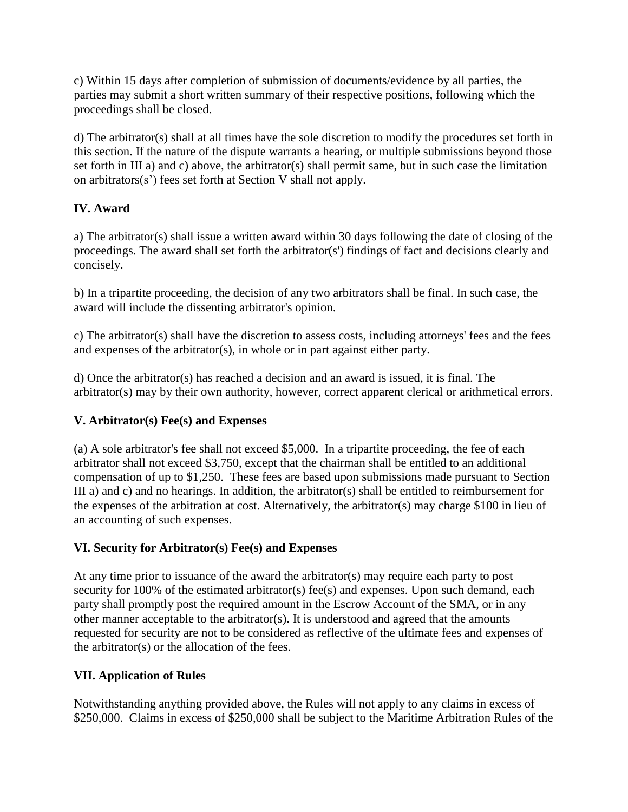c) Within 15 days after completion of submission of documents/evidence by all parties, the parties may submit a short written summary of their respective positions, following which the proceedings shall be closed.

d) The arbitrator(s) shall at all times have the sole discretion to modify the procedures set forth in this section. If the nature of the dispute warrants a hearing, or multiple submissions beyond those set forth in III a) and c) above, the arbitrator(s) shall permit same, but in such case the limitation on arbitrators(s') fees set forth at Section V shall not apply.

# **IV. Award**

a) The arbitrator(s) shall issue a written award within 30 days following the date of closing of the proceedings. The award shall set forth the arbitrator(s') findings of fact and decisions clearly and concisely.

b) In a tripartite proceeding, the decision of any two arbitrators shall be final. In such case, the award will include the dissenting arbitrator's opinion.

c) The arbitrator(s) shall have the discretion to assess costs, including attorneys' fees and the fees and expenses of the arbitrator(s), in whole or in part against either party.

d) Once the arbitrator(s) has reached a decision and an award is issued, it is final. The arbitrator(s) may by their own authority, however, correct apparent clerical or arithmetical errors.

## **V. Arbitrator(s) Fee(s) and Expenses**

(a) A sole arbitrator's fee shall not exceed \$5,000. In a tripartite proceeding, the fee of each arbitrator shall not exceed \$3,750, except that the chairman shall be entitled to an additional compensation of up to \$1,250. These fees are based upon submissions made pursuant to Section III a) and c) and no hearings. In addition, the arbitrator(s) shall be entitled to reimbursement for the expenses of the arbitration at cost. Alternatively, the arbitrator(s) may charge \$100 in lieu of an accounting of such expenses.

## **VI. Security for Arbitrator(s) Fee(s) and Expenses**

At any time prior to issuance of the award the arbitrator(s) may require each party to post security for 100% of the estimated arbitrator(s) fee(s) and expenses. Upon such demand, each party shall promptly post the required amount in the Escrow Account of the SMA, or in any other manner acceptable to the arbitrator(s). It is understood and agreed that the amounts requested for security are not to be considered as reflective of the ultimate fees and expenses of the arbitrator(s) or the allocation of the fees.

## **VII. Application of Rules**

Notwithstanding anything provided above, the Rules will not apply to any claims in excess of \$250,000. Claims in excess of \$250,000 shall be subject to the Maritime Arbitration Rules of the